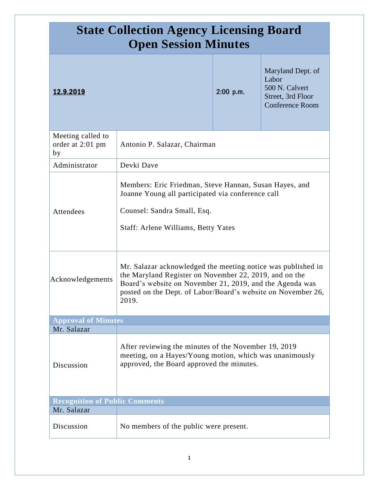| <b>State Collection Agency Licensing Board</b><br><b>Open Session Minutes</b> |                                                                                                                                                                                                                                                             |             |                                                                                             |  |
|-------------------------------------------------------------------------------|-------------------------------------------------------------------------------------------------------------------------------------------------------------------------------------------------------------------------------------------------------------|-------------|---------------------------------------------------------------------------------------------|--|
| 12.9.2019                                                                     |                                                                                                                                                                                                                                                             | $2:00$ p.m. | Maryland Dept. of<br>Labor<br>500 N. Calvert<br>Street, 3rd Floor<br><b>Conference Room</b> |  |
| Meeting called to<br>order at 2:01 pm<br>by                                   | Antonio P. Salazar, Chairman                                                                                                                                                                                                                                |             |                                                                                             |  |
| Administrator                                                                 | Devki Dave                                                                                                                                                                                                                                                  |             |                                                                                             |  |
| Attendees                                                                     | Members: Eric Friedman, Steve Hannan, Susan Hayes, and<br>Joanne Young all participated via conference call<br>Counsel: Sandra Small, Esq.<br>Staff: Arlene Williams, Betty Yates                                                                           |             |                                                                                             |  |
| Acknowledgements                                                              | Mr. Salazar acknowledged the meeting notice was published in<br>the Maryland Register on November 22, 2019, and on the<br>Board's website on November 21, 2019, and the Agenda was<br>posted on the Dept. of Labor/Board's website on November 26,<br>2019. |             |                                                                                             |  |
| <b>Approval of Minutes</b>                                                    |                                                                                                                                                                                                                                                             |             |                                                                                             |  |
| Mr. Salazar<br>Discussion                                                     | After reviewing the minutes of the November 19, 2019<br>meeting, on a Hayes/Young motion, which was unanimously<br>approved, the Board approved the minutes.                                                                                                |             |                                                                                             |  |
| <b>Recognition of Public Comments</b><br>Mr. Salazar                          |                                                                                                                                                                                                                                                             |             |                                                                                             |  |
| Discussion                                                                    | No members of the public were present.                                                                                                                                                                                                                      |             |                                                                                             |  |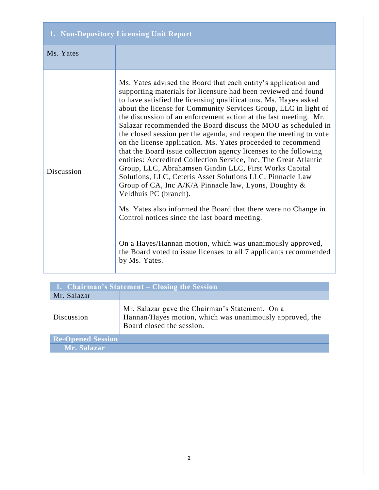| 1. Non-Depository Licensing Unit Report |                                                                                                                                                                                                                                                                                                                                                                                                                                                                                                                                                                                                                                                                                                                                                                                                                                                                                                                                                                                                                                                                                                                                                                           |  |
|-----------------------------------------|---------------------------------------------------------------------------------------------------------------------------------------------------------------------------------------------------------------------------------------------------------------------------------------------------------------------------------------------------------------------------------------------------------------------------------------------------------------------------------------------------------------------------------------------------------------------------------------------------------------------------------------------------------------------------------------------------------------------------------------------------------------------------------------------------------------------------------------------------------------------------------------------------------------------------------------------------------------------------------------------------------------------------------------------------------------------------------------------------------------------------------------------------------------------------|--|
| Ms. Yates                               |                                                                                                                                                                                                                                                                                                                                                                                                                                                                                                                                                                                                                                                                                                                                                                                                                                                                                                                                                                                                                                                                                                                                                                           |  |
| Discussion                              | Ms. Yates advised the Board that each entity's application and<br>supporting materials for licensure had been reviewed and found<br>to have satisfied the licensing qualifications. Ms. Hayes asked<br>about the license for Community Services Group, LLC in light of<br>the discussion of an enforcement action at the last meeting. Mr.<br>Salazar recommended the Board discuss the MOU as scheduled in<br>the closed session per the agenda, and reopen the meeting to vote<br>on the license application. Ms. Yates proceeded to recommend<br>that the Board issue collection agency licenses to the following<br>entities: Accredited Collection Service, Inc, The Great Atlantic<br>Group, LLC, Abrahamsen Gindin LLC, First Works Capital<br>Solutions, LLC, Ceteris Asset Solutions LLC, Pinnacle Law<br>Group of CA, Inc $A/K/A$ Pinnacle law, Lyons, Doughty &<br>Veldhuis PC (branch).<br>Ms. Yates also informed the Board that there were no Change in<br>Control notices since the last board meeting.<br>On a Hayes/Hannan motion, which was unanimously approved,<br>the Board voted to issue licenses to all 7 applicants recommended<br>by Ms. Yates. |  |

| 1. Chairman's Statement – Closing the Session |                                                                                                                                          |  |
|-----------------------------------------------|------------------------------------------------------------------------------------------------------------------------------------------|--|
| Mr. Salazar                                   |                                                                                                                                          |  |
| Discussion                                    | Mr. Salazar gave the Chairman's Statement. On a<br>Hannan/Hayes motion, which was unanimously approved, the<br>Board closed the session. |  |
| <b>Re-Opened Session</b>                      |                                                                                                                                          |  |
| Mr. Salazar                                   |                                                                                                                                          |  |